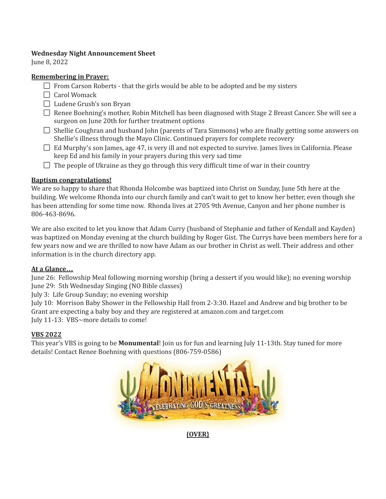## **Wednesday Night Announcement Sheet**

June 8, 2022

## **Remembering in Prayer:**

- $\Box$  From Carson Roberts that the girls would be able to be adopted and be my sisters
- $\Box$  Carol Womack
- $\Box$  Ludene Grush's son Bryan
- $\Box$  Renee Boehning's mother, Robin Mitchell has been diagnosed with Stage 2 Breast Cancer. She will see a surgeon on June 20th for further treatment options
- $\Box$  Shellie Coughran and husband John (parents of Tara Simmons) who are finally getting some answers on Shellie's illness through the Mayo Clinic. Continued prayers for complete recovery
- $\Box$  Ed Murphy's son James, age 47, is very ill and not expected to survive. James lives in California. Please keep Ed and his family in your prayers during this very sad time
- $\Box$  The people of Ukraine as they go through this very difficult time of war in their country

# **Baptism congratulations!**

We are so happy to share that Rhonda Holcombe was baptized into Christ on Sunday, June 5th here at the building. We welcome Rhonda into our church family and can't wait to get to know her better, even though she has been attending for some time now. Rhonda lives at 2705 9th Avenue, Canyon and her phone number is 806-463-8696.

We are also excited to let you know that Adam Curry (husband of Stephanie and father of Kendall and Kayden) was baptized on Monday evening at the church building by Roger Gist. The Currys have been members here for a few years now and we are thrilled to now have Adam as our brother in Christ as well. Their address and other information is in the church directory app.

# **At a Glance…**

June 26: Fellowship Meal following morning worship (bring a dessert if you would like); no evening worship June 29: 5th Wednesday Singing (NO Bible classes)

July 3: Life Group Sunday; no evening worship

July 10: Morrison Baby Shower in the Fellowship Hall from 2-3:30. Hazel and Andrew and big brother to be Grant are expecting a baby boy and they are registered at amazon.com and target.com July 11-13: VBS~more details to come!

# **VBS 2022**

This year's VBS is going to be **Monumental**! Join us for fun and learning July 11-13th. Stay tuned for more details! Contact Renee Boehning with questions (806-759-0586)



**{OVER}**